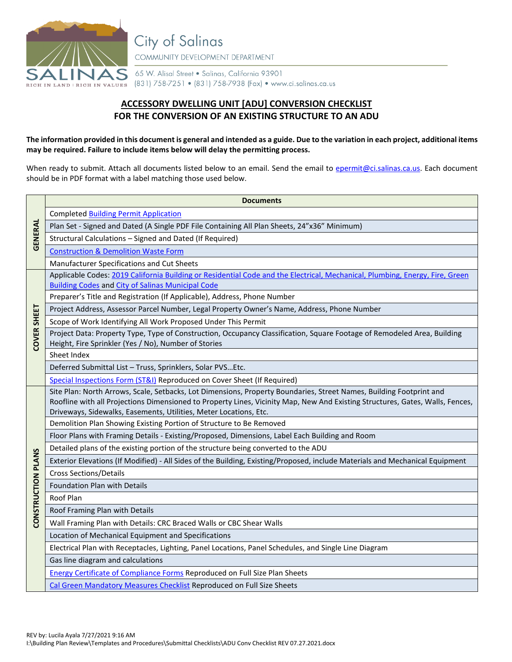

**City of Salinas** COMMUNITY DEVELOPMENT DEPARTMENT

65 W. Alisal Street . Salinas, California 93901 RICH IN LAND | RICH IN VALUES (831) 758-7251 • (831) 758-7938 (Fax) • www.ci.salinas.ca.us

## **ACCESSORY DWELLING UNIT [ADU] CONVERSION CHECKLIST FOR THE CONVERSION OF AN EXISTING STRUCTURE TO AN ADU**

## **The information provided in this document is general and intended as a guide. Due to the variation in each project, additional items may be required. Failure to include items below will delay the permitting process.**

When ready to submit. Attach all documents listed below to an email. Send the email to [epermit@ci.salinas.ca.us.](mailto:epermit@ci.salinas.ca.us) Each document should be in PDF format with a label matching those used below.

|                    | <b>Documents</b>                                                                                                                                                                                   |
|--------------------|----------------------------------------------------------------------------------------------------------------------------------------------------------------------------------------------------|
| <b>GENERAL</b>     | <b>Completed Building Permit Application</b>                                                                                                                                                       |
|                    | Plan Set - Signed and Dated (A Single PDF File Containing All Plan Sheets, 24"x36" Minimum)                                                                                                        |
|                    | Structural Calculations - Signed and Dated (If Required)                                                                                                                                           |
|                    | <b>Construction &amp; Demolition Waste Form</b>                                                                                                                                                    |
|                    | Manufacturer Specifications and Cut Sheets                                                                                                                                                         |
| COVER SHEET        | Applicable Codes: 2019 California Building or Residential Code and the Electrical, Mechanical, Plumbing, Energy, Fire, Green                                                                       |
|                    | <b>Building Codes and City of Salinas Municipal Code</b>                                                                                                                                           |
|                    | Preparer's Title and Registration (If Applicable), Address, Phone Number                                                                                                                           |
|                    | Project Address, Assessor Parcel Number, Legal Property Owner's Name, Address, Phone Number                                                                                                        |
|                    | Scope of Work Identifying All Work Proposed Under This Permit                                                                                                                                      |
|                    | Project Data: Property Type, Type of Construction, Occupancy Classification, Square Footage of Remodeled Area, Building<br>Height, Fire Sprinkler (Yes / No), Number of Stories                    |
|                    | Sheet Index                                                                                                                                                                                        |
|                    | Deferred Submittal List - Truss, Sprinklers, Solar PVSEtc.                                                                                                                                         |
|                    | Special Inspections Form (ST&I) Reproduced on Cover Sheet (If Required)                                                                                                                            |
| CONSTRUCTION PLANS | Site Plan: North Arrows, Scale, Setbacks, Lot Dimensions, Property Boundaries, Street Names, Building Footprint and                                                                                |
|                    | Roofline with all Projections Dimensioned to Property Lines, Vicinity Map, New And Existing Structures, Gates, Walls, Fences,<br>Driveways, Sidewalks, Easements, Utilities, Meter Locations, Etc. |
|                    | Demolition Plan Showing Existing Portion of Structure to Be Removed                                                                                                                                |
|                    | Floor Plans with Framing Details - Existing/Proposed, Dimensions, Label Each Building and Room                                                                                                     |
|                    | Detailed plans of the existing portion of the structure being converted to the ADU                                                                                                                 |
|                    | Exterior Elevations (If Modified) - All Sides of the Building, Existing/Proposed, include Materials and Mechanical Equipment                                                                       |
|                    | <b>Cross Sections/Details</b>                                                                                                                                                                      |
|                    | Foundation Plan with Details                                                                                                                                                                       |
|                    | Roof Plan                                                                                                                                                                                          |
|                    | Roof Framing Plan with Details                                                                                                                                                                     |
|                    | Wall Framing Plan with Details: CRC Braced Walls or CBC Shear Walls                                                                                                                                |
|                    | Location of Mechanical Equipment and Specifications                                                                                                                                                |
|                    | Electrical Plan with Receptacles, Lighting, Panel Locations, Panel Schedules, and Single Line Diagram                                                                                              |
|                    | Gas line diagram and calculations                                                                                                                                                                  |
|                    | <b>Energy Certificate of Compliance Forms Reproduced on Full Size Plan Sheets</b>                                                                                                                  |
|                    | Cal Green Mandatory Measures Checklist Reproduced on Full Size Sheets                                                                                                                              |
|                    |                                                                                                                                                                                                    |